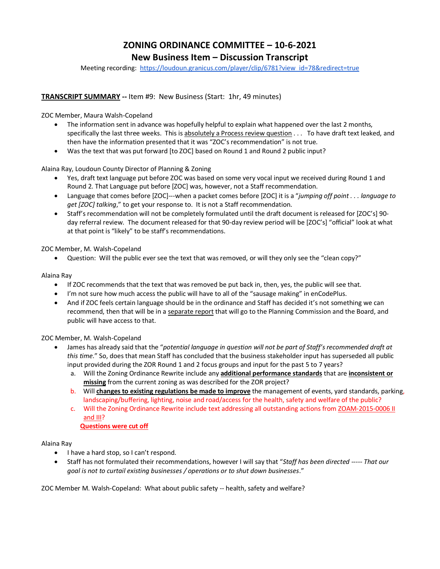# **ZONING ORDINANCE COMMITTEE – 10-6-2021**

**New Business Item – Discussion Transcript**

Meeting recording: [https://loudoun.granicus.com/player/clip/6781?view\\_id=78&redirect=true](https://loudoun.granicus.com/player/clip/6781?view_id=78&redirect=true)

# **TRANSCRIPT SUMMARY --** Item #9: New Business (Start: 1hr, 49 minutes)

ZOC Member, Maura Walsh-Copeland

- The information sent in advance was hopefully helpful to explain what happened over the last 2 months, specifically the last three weeks. This is absolutely a Process review question  $\ldots$  To have draft text leaked, and then have the information presented that it was "ZOC's recommendation" is not true.
- Was the text that was put forward [to ZOC] based on Round 1 and Round 2 public input?

Alaina Ray, Loudoun County Director of Planning & Zoning

- Yes, draft text language put before ZOC was based on some very vocal input we received during Round 1 and Round 2. That Language put before [ZOC] was, however, not a Staff recommendation.
- Language that comes before [ZOC]---when a packet comes before [ZOC] it is a "*jumping off point . . . language to get [ZOC] talking*," to get your response to. It is not a Staff recommendation.
- Staff's recommendation will not be completely formulated until the draft document is released for [ZOC's] 90 day referral review. The document released for that 90-day review period will be [ZOC's] "official" look at what at that point is "likely" to be staff's recommendations.

ZOC Member, M. Walsh-Copeland

• Question: Will the public ever see the text that was removed, or will they only see the "clean copy?"

#### Alaina Ray

- If ZOC recommends that the text that was removed be put back in, then, yes, the public will see that.
- I'm not sure how much access the public will have to all of the "sausage making" in enCodePlus.
- And if ZOC feels certain language should be in the ordinance and Staff has decided it's not something we can recommend, then that will be in a separate report that will go to the Planning Commission and the Board, and public will have access to that.

ZOC Member, M. Walsh-Copeland

- James has already said that the "*potential language in question will not be part of Staff's recommended draft at this time*." So, does that mean Staff has concluded that the business stakeholder input has superseded all public input provided during the ZOR Round 1 and 2 focus groups and input for the past 5 to 7 years?
	- a. Will the Zoning Ordinance Rewrite include any **additional performance standards** that are **inconsistent or missing** from the current zoning as was described for the ZOR project?
	- b. Will **changes to existing regulations be made to improve** the management of events, yard standards, parking, landscaping/buffering, lighting, noise and road/access for the health, safety and welfare of the public?
	- c. Will the Zoning Ordinance Rewrite include text addressing all outstanding actions from ZOAM-2015-0006 II and III?

**Questions were cut off**

### Alaina Ray

- I have a hard stop, so I can't respond.
- Staff has not formulated their recommendations, however I will say that "*Staff has been directed ----- That our goal is not to curtail existing businesses / operations or to shut down businesses*."

ZOC Member M. Walsh-Copeland: What about public safety -- health, safety and welfare?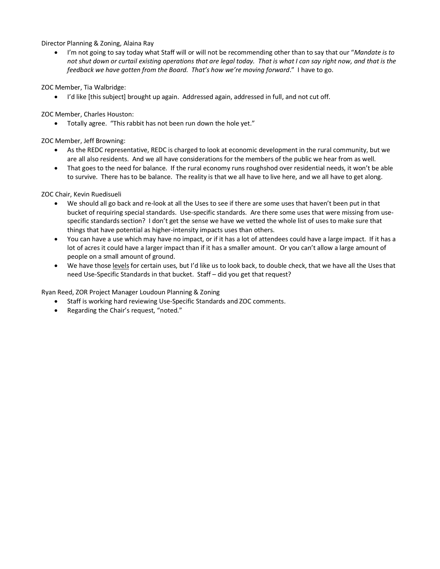## Director Planning & Zoning, Alaina Ray

• I'm not going to say today what Staff will or will not be recommending other than to say that our "*Mandate is to not shut down or curtail existing operations that are legal today. That is what I can say right now, and that is the feedback we have gotten from the Board. That's how we're moving forward*." I have to go.

ZOC Member, Tia Walbridge:

• I'd like [this subject] brought up again. Addressed again, addressed in full, and not cut off.

ZOC Member, Charles Houston:

• Totally agree. "This rabbit has not been run down the hole yet."

ZOC Member, Jeff Browning:

- As the REDC representative, REDC is charged to look at economic development in the rural community, but we are all also residents. And we all have considerations for the members of the public we hear from as well.
- That goes to the need for balance. If the rural economy runs roughshod over residential needs, it won't be able to survive. There has to be balance. The reality is that we all have to live here, and we all have to get along.

ZOC Chair, Kevin Ruedisueli

- We should all go back and re-look at all the Uses to see if there are some uses that haven't been put in that bucket of requiring special standards. Use-specific standards. Are there some uses that were missing from usespecific standards section? I don't get the sense we have we vetted the whole list of uses to make sure that things that have potential as higher-intensity impacts uses than others.
- You can have a use which may have no impact, or if it has a lot of attendees could have a large impact. If it has a lot of acres it could have a larger impact than if it has a smaller amount. Or you can't allow a large amount of people on a small amount of ground.
- We have those levels for certain uses, but I'd like us to look back, to double check, that we have all the Uses that need Use-Specific Standards in that bucket. Staff – did you get that request?

Ryan Reed, ZOR Project Manager Loudoun Planning & Zoning

- Staff is working hard reviewing Use-Specific Standards and ZOC comments.
- Regarding the Chair's request, "noted."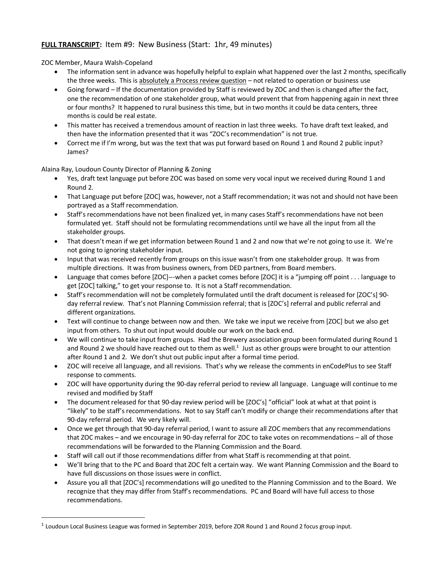# **FULL TRANSCRIPT:** Item #9: New Business (Start: 1hr, 49 minutes)

ZOC Member, Maura Walsh-Copeland

- The information sent in advance was hopefully helpful to explain what happened over the last 2 months, specifically the three weeks. This is absolutely a Process review question – not related to operation or business use
- Going forward If the documentation provided by Staff is reviewed by ZOC and then is changed after the fact, one the recommendation of one stakeholder group, what would prevent that from happening again in next three or four months? It happened to rural business this time, but in two months it could be data centers, three months is could be real estate.
- This matter has received a tremendous amount of reaction in last three weeks. To have draft text leaked, and then have the information presented that it was "ZOC's recommendation" is not true.
- Correct me if I'm wrong, but was the text that was put forward based on Round 1 and Round 2 public input? James?

Alaina Ray, Loudoun County Director of Planning & Zoning

- Yes, draft text language put before ZOC was based on some very vocal input we received during Round 1 and Round 2.
- That Language put before [ZOC] was, however, not a Staff recommendation; it was not and should not have been portrayed as a Staff recommendation.
- Staff's recommendations have not been finalized yet, in many cases Staff's recommendations have not been formulated yet. Staff should not be formulating recommendations until we have all the input from all the stakeholder groups.
- That doesn't mean if we get information between Round 1 and 2 and now that we're not going to use it. We're not going to ignoring stakeholder input.
- Input that was received recently from groups on this issue wasn't from one stakeholder group. It was from multiple directions. It was from business owners, from DED partners, from Board members.
- Language that comes before [ZOC]---when a packet comes before [ZOC] it is a "jumping off point . . . language to get [ZOC] talking," to get your response to. It is not a Staff recommendation.
- Staff's recommendation will not be completely formulated until the draft document is released for [ZOC's] 90 day referral review. That's not Planning Commission referral; that is [ZOC's] referral and public referral and different organizations.
- Text will continue to change between now and then. We take we input we receive from [ZOC] but we also get input from others. To shut out input would double our work on the back end.
- We will continue to take input from groups. Had the Brewery association group been formulated during Round 1 and Round 2 we should have reached out to them as well.<sup>1</sup> Just as other groups were brought to our attention after Round 1 and 2. We don't shut out public input after a formal time period.
- ZOC will receive all language, and all revisions. That's why we release the comments in enCodePlus to see Staff response to comments.
- ZOC will have opportunity during the 90-day referral period to review all language. Language will continue to me revised and modified by Staff
- The document released for that 90-day review period will be [ZOC's] "official" look at what at that point is "likely" to be staff's recommendations. Not to say Staff can't modify or change their recommendations after that 90-day referral period. We very likely will.
- Once we get through that 90-day referral period, I want to assure all ZOC members that any recommendations that ZOC makes – and we encourage in 90-day referral for ZOC to take votes on recommendations – all of those recommendations will be forwarded to the Planning Commission and the Board.
- Staff will call out if those recommendations differ from what Staff is recommending at that point.
- We'll bring that to the PC and Board that ZOC felt a certain way. We want Planning Commission and the Board to have full discussions on those issues were in conflict.
- Assure you all that [ZOC's] recommendations will go unedited to the Planning Commission and to the Board. We recognize that they may differ from Staff's recommendations. PC and Board will have full access to those recommendations.

 $^1$  Loudoun Local Business League was formed in September 2019, before ZOR Round 1 and Round 2 focus group input.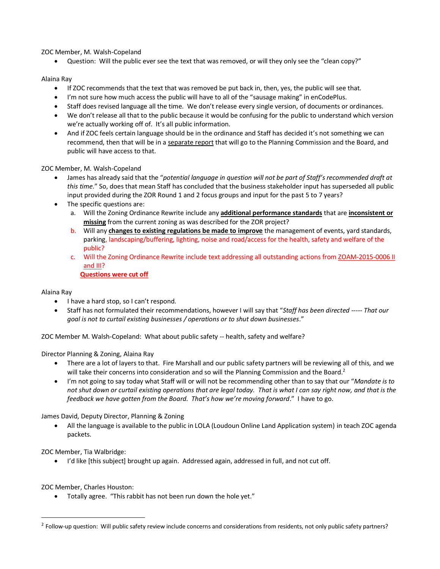# ZOC Member, M. Walsh-Copeland

• Question: Will the public ever see the text that was removed, or will they only see the "clean copy?"

## Alaina Ray

- If ZOC recommends that the text that was removed be put back in, then, yes, the public will see that.
- I'm not sure how much access the public will have to all of the "sausage making" in enCodePlus.
- Staff does revised language all the time. We don't release every single version, of documents or ordinances.
- We don't release all that to the public because it would be confusing for the public to understand which version we're actually working off of. It's all public information.
- And if ZOC feels certain language should be in the ordinance and Staff has decided it's not something we can recommend, then that will be in a separate report that will go to the Planning Commission and the Board, and public will have access to that.

ZOC Member, M. Walsh-Copeland

- James has already said that the "*potential language in question will not be part of Staff's recommended draft at this time*." So, does that mean Staff has concluded that the business stakeholder input has superseded all public input provided during the ZOR Round 1 and 2 focus groups and input for the past 5 to 7 years?
- The specific questions are:
	- a. Will the Zoning Ordinance Rewrite include any **additional performance standards** that are **inconsistent or missing** from the current zoning as was described for the ZOR project?
	- b. Will any **changes to existing regulations be made to improve** the management of events, yard standards, parking, landscaping/buffering, lighting, noise and road/access for the health, safety and welfare of the public?
	- c. Will the Zoning Ordinance Rewrite include text addressing all outstanding actions from ZOAM-2015-0006 II and III?

# **Questions were cut off**

### Alaina Ray

- I have a hard stop, so I can't respond.
- Staff has not formulated their recommendations, however I will say that "*Staff has been directed ----- That our goal is not to curtail existing businesses / operations or to shut down businesses*."

ZOC Member M. Walsh-Copeland: What about public safety -- health, safety and welfare?

Director Planning & Zoning, Alaina Ray

- There are a lot of layers to that. Fire Marshall and our public safety partners will be reviewing all of this, and we will take their concerns into consideration and so will the Planning Commission and the Board.<sup>2</sup>
- I'm not going to say today what Staff will or will not be recommending other than to say that our "*Mandate is to not shut down or curtail existing operations that are legal today. That is what I can say right now, and that is the feedback we have gotten from the Board. That's how we're moving forward*." I have to go.

James David, Deputy Director, Planning & Zoning

• All the language is available to the public in LOLA (Loudoun Online Land Application system) in teach ZOC agenda packets.

ZOC Member, Tia Walbridge:

• I'd like [this subject] brought up again. Addressed again, addressed in full, and not cut off.

ZOC Member, Charles Houston:

• Totally agree. "This rabbit has not been run down the hole yet."

<sup>&</sup>lt;sup>2</sup> Follow-up question: Will public safety review include concerns and considerations from residents, not only public safety partners?